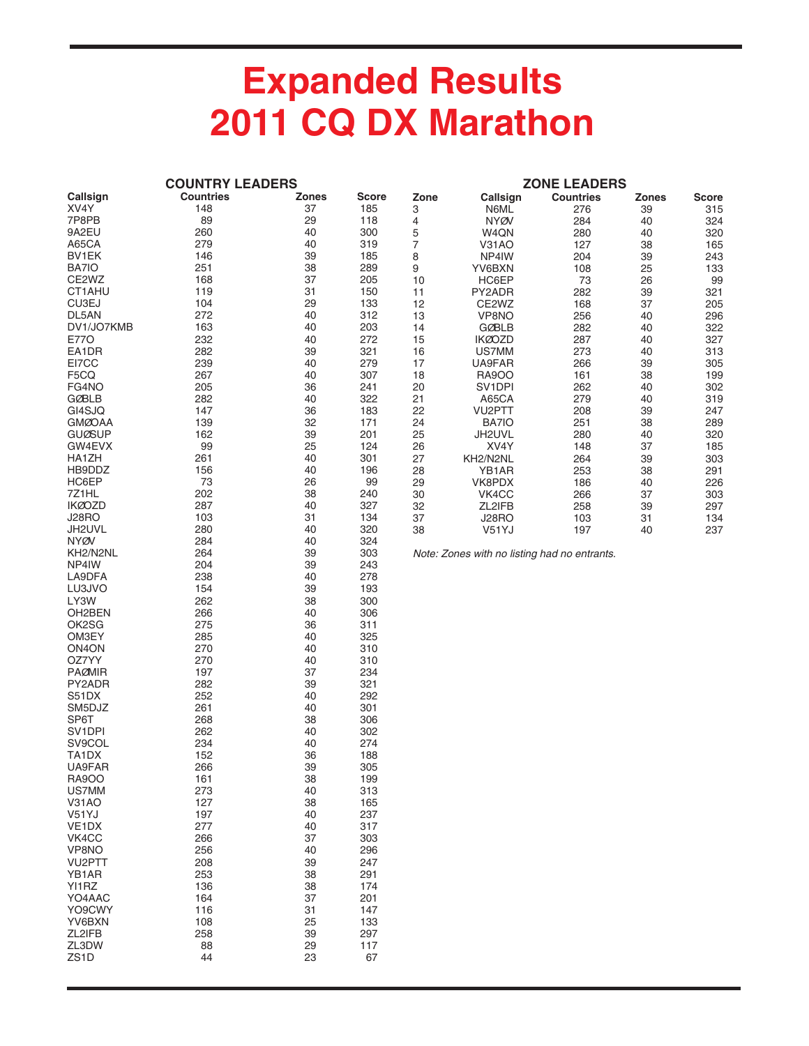## **Expanded Results 2011 CQ DX Marathon**

|                     | <b>COUNTRY LEADERS</b> |              | <b>ZONE LEADERS</b> |                |                                              |                  |              |              |  |
|---------------------|------------------------|--------------|---------------------|----------------|----------------------------------------------|------------------|--------------|--------------|--|
| Callsign            | <b>Countries</b>       | <b>Zones</b> | <b>Score</b>        | Zone           | Callsign                                     | <b>Countries</b> | <b>Zones</b> | <b>Score</b> |  |
| XV4Y                | 148                    | 37           | 185                 | 3              | N6ML                                         | 276              | 39           | 315          |  |
| 7P8PB               | 89                     | 29           | 118                 | 4              | <b>NYØV</b>                                  | 284              | 40           | 324          |  |
| 9A2EU               | 260                    | 40           | 300                 | 5              | W4QN                                         | 280              | 40           | 320          |  |
| A65CA               | 279                    | 40           | 319                 | $\overline{7}$ | V31AO                                        | 127              | 38           | 165          |  |
| BV1EK               | 146                    | 39           | 185                 | 8              | NP4IW                                        | 204              | 39           | 243          |  |
| BA7IO               | 251                    | 38           | 289                 | 9              | YV6BXN                                       | 108              | 25           | 133          |  |
| CE2WZ               | 168                    | 37           | 205                 | 10             | HC6EP                                        | 73               | 26           | 99           |  |
| CT1AHU              | 119                    | 31           | 150                 | 11             | PY2ADR                                       | 282              | 39           | 321          |  |
| CU3EJ               | 104                    | 29           | 133                 | 12             | CE2WZ                                        | 168              | 37           | 205          |  |
| DL5AN               | 272                    | 40           | 312                 | 13             | VP8NO                                        | 256              | 40           | 296          |  |
| DV1/JO7KMB          | 163                    | 40           | 203                 | 14             | <b>GØBLB</b>                                 | 282              | 40           | 322          |  |
| <b>E770</b>         | 232                    | 40           | 272                 | 15             | <b>IKØOZD</b>                                | 287              | 40           | 327          |  |
| EA1DR               | 282                    | 39           | 321                 | 16             | US7MM                                        | 273              | 40           | 313          |  |
| EI7CC               | 239                    | 40           | 279                 | 17             | UA9FAR                                       | 266              | 39           | 305          |  |
| F5CQ                | 267                    | 40           | 307                 | 18             | <b>RA9OO</b>                                 | 161              | 38           | 199          |  |
| FG4NO               | 205                    | 36           | 241                 | 20             | SV1DPI                                       | 262              | 40           | 302          |  |
| <b>GØBLB</b>        | 282                    | 40           | 322                 | 21             | A65CA                                        | 279              | 40           | 319          |  |
| GI4SJQ              | 147                    | 36           | 183                 | 22             | VU2PTT                                       | 208              | 39           | 247          |  |
| <b>GMØOAA</b>       | 139                    | 32           | 171                 | 24             | BA7IO                                        | 251              | 38           | 289          |  |
| <b>GUØSUP</b>       | 162                    | 39           | 201                 | 25             | JH2UVL                                       | 280              | 40           | 320          |  |
| GW4EVX              | 99                     | 25           | 124                 | 26             | XV4Y                                         | 148              | 37           | 185          |  |
| HA1ZH               | 261                    | 40           | 301                 | 27             | KH2/N2NL                                     | 264              | 39           | 303          |  |
| HB9DDZ              | 156                    | 40           | 196                 | 28             | YB1AR                                        | 253              | 38           | 291          |  |
| HC6EP               | 73                     | 26           | 99                  | 29             | VK8PDX                                       | 186              | 40           | 226          |  |
| 7Z1HL               | 202                    | 38           | 240                 | 30             | VK4CC                                        | 266              | 37           | 303          |  |
| <b>IKØOZD</b>       | 287                    | 40           | 327                 | 32             | ZL2IFB                                       | 258              | 39           | 297          |  |
| <b>J28RO</b>        | 103                    | 31           | 134                 | 37             | J28RO                                        | 103              | 31           | 134          |  |
| JH2UVL              | 280                    | 40           | 320                 | 38             | V51YJ                                        | 197              | 40           | 237          |  |
| <b>NYØV</b>         | 284                    | 40           | 324                 |                |                                              |                  |              |              |  |
| KH2/N2NL            | 264                    | 39           | 303                 |                | Note: Zones with no listing had no entrants. |                  |              |              |  |
| NP4IW               | 204                    | 39           | 243                 |                |                                              |                  |              |              |  |
| LA9DFA              | 238                    | 40           | 278                 |                |                                              |                  |              |              |  |
| LU3JVO              | 154                    | 39           | 193                 |                |                                              |                  |              |              |  |
| LY3W                | 262                    | 38           | 300                 |                |                                              |                  |              |              |  |
| OH2BEN              | 266                    | 40           | 306                 |                |                                              |                  |              |              |  |
| OK2SG               | 275                    | 36           | 311                 |                |                                              |                  |              |              |  |
| OM3EY               | 285                    | 40           | 325                 |                |                                              |                  |              |              |  |
| ON <sub>4</sub> ON  | 270                    | 40           | 310                 |                |                                              |                  |              |              |  |
| OZ7YY               | 270                    | 40           | 310                 |                |                                              |                  |              |              |  |
| <b>PAØMIR</b>       | 197                    | 37           | 234                 |                |                                              |                  |              |              |  |
| PY2ADR<br>S51DX     | 282<br>252             | 39           | 321<br>292          |                |                                              |                  |              |              |  |
| SM5DJZ              | 261                    | 40<br>40     | 301                 |                |                                              |                  |              |              |  |
| SP6T                | 268                    |              | 306                 |                |                                              |                  |              |              |  |
| SV <sub>1</sub> DPI | 262                    | 38<br>40     | 302                 |                |                                              |                  |              |              |  |
| SV9COL              | 234                    | 40           | 274                 |                |                                              |                  |              |              |  |
| TA1DX               | 152                    | 36           | 188                 |                |                                              |                  |              |              |  |
| UA9FAR              | 266                    | 39           | 305                 |                |                                              |                  |              |              |  |
| <b>RA9OO</b>        | 161                    | 38           | 199                 |                |                                              |                  |              |              |  |
| US7MM               | 273                    | 40           | 313                 |                |                                              |                  |              |              |  |
| V31AO               | 127                    | 38           | 165                 |                |                                              |                  |              |              |  |
| V51YJ               | 197                    | 40           | 237                 |                |                                              |                  |              |              |  |
| VE <sub>1</sub> DX  | 277                    | 40           | 317                 |                |                                              |                  |              |              |  |
| VK4CC               | 266                    | 37           | 303                 |                |                                              |                  |              |              |  |
| VP8NO               | 256                    | 40           | 296                 |                |                                              |                  |              |              |  |
| VU2PTT              | 208                    | 39           | 247                 |                |                                              |                  |              |              |  |
| YB1AR               | 253                    | 38           | 291                 |                |                                              |                  |              |              |  |
| YI1RZ               | 136                    | 38           | 174                 |                |                                              |                  |              |              |  |
| YO4AAC              | 164                    | 37           | 201                 |                |                                              |                  |              |              |  |
| YO9CWY              | 116                    | 31           | 147                 |                |                                              |                  |              |              |  |
| YV6BXN              | 108                    | 25           | 133                 |                |                                              |                  |              |              |  |
| ZL2IFB              | 258                    | 39           | 297                 |                |                                              |                  |              |              |  |
| ZL3DW               | 88                     | 29           | 117                 |                |                                              |                  |              |              |  |
| ZS <sub>1</sub> D   | 44                     | 23           | 67                  |                |                                              |                  |              |              |  |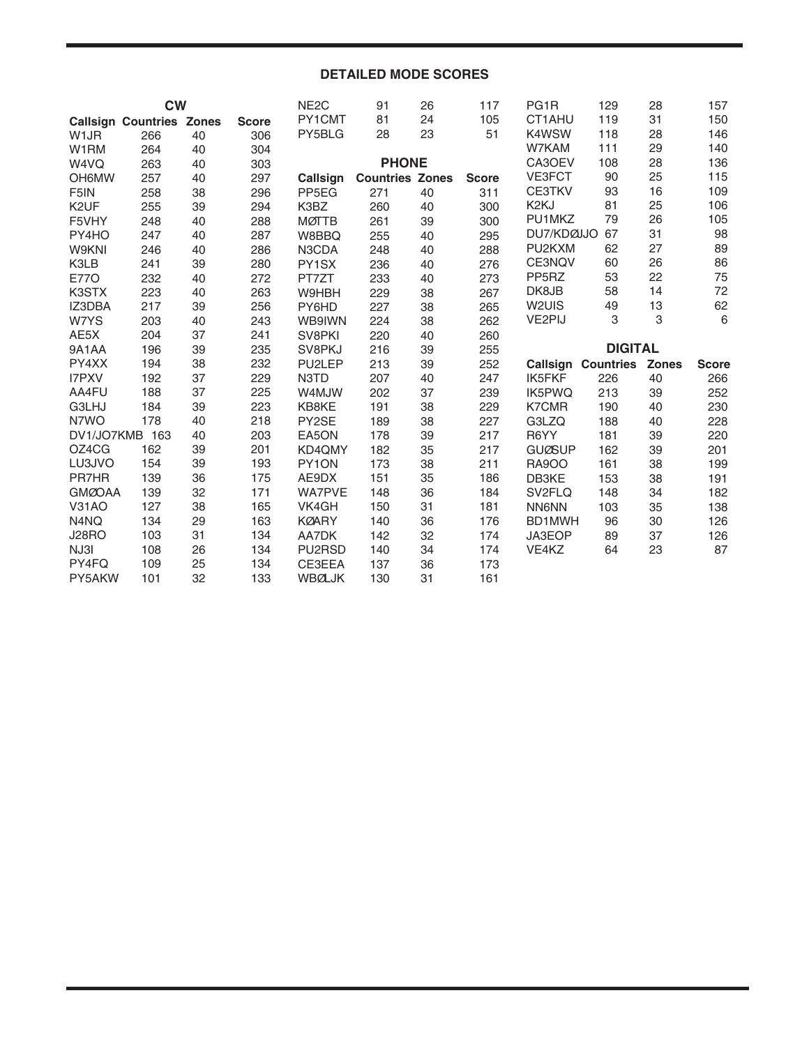## **DETAILED MODE SCORES**

|                   | <b>CW</b>                       |          |              | NE <sub>2</sub> C       | 91                     | 26       | 117          | PG <sub>1</sub> R   | 129                       | 28           | 157          |
|-------------------|---------------------------------|----------|--------------|-------------------------|------------------------|----------|--------------|---------------------|---------------------------|--------------|--------------|
|                   | <b>Callsign Countries Zones</b> |          | <b>Score</b> | PY1CMT                  | 81                     | 24       | 105          | CT1AHU              | 119                       | 31           | 150          |
| W <sub>1</sub> JR | 266                             | 40       | 306          | PY5BLG                  | 28                     | 23       | 51           | K4WSW               | 118                       | 28           | 146          |
| W1RM              | 264                             | 40       | 304          |                         |                        |          |              | W7KAM               | 111                       | 29           | 140          |
| W4VQ              | 263                             | 40       | 303          |                         | <b>PHONE</b>           |          |              | CA3OEV              | 108                       | 28           | 136          |
| <b>OH6MW</b>      | 257                             | 40       | 297          | Callsign                | <b>Countries Zones</b> |          | <b>Score</b> | VE3FCT              | 90                        | 25           | 115          |
| F <sub>5</sub> IN | 258                             | 38       | 296          | PP <sub>5EG</sub>       | 271                    | 40       | 311          | <b>CE3TKV</b>       | 93                        | 16           | 109          |
| K <sub>2</sub> UF | 255                             | 39       | 294          | K3BZ                    | 260                    | 40       | 300          | K <sub>2</sub> KJ   | 81                        | 25           | 106          |
| F5VHY             | 248                             | 40       | 288          | <b>MØTTB</b>            | 261                    | 39       | 300          | PU1MKZ              | 79                        | 26           | 105          |
| PY4HO             | 247                             | 40       | 287          | W8BBQ                   | 255                    | 40       | 295          | DU7/KDØJJO          | 67                        | 31           | 98           |
| <b>W9KNI</b>      | 246                             | 40       | 286          | N3CDA                   | 248                    | 40       | 288          | PU2KXM              | 62                        | 27           | 89           |
| K3LB              | 241                             | 39       | 280          | PY1SX                   | 236                    | 40       | 276          | CE3NQV              | 60                        | 26           | 86           |
| <b>E770</b>       | 232                             | 40       | 272          | PT7ZT                   | 233                    | 40       | 273          | PP <sub>5</sub> RZ  | 53                        | 22           | 75           |
| K3STX             | 223                             | 40       | 263          | W9HBH                   | 229                    | 38       | 267          | DK8JB               | 58                        | 14           | 72           |
| IZ3DBA            | 217                             | 39       | 256          | PY6HD                   | 227                    | 38       | 265          | W <sub>2UIS</sub>   | 49                        | 13           | 62           |
| W7YS              | 203                             | 40       | 243          | WB9IWN                  | 224                    | 38       | 262          | VE2PIJ              | 3                         | 3            | $\,6\,$      |
| AE5X              | 204                             | 37       | 241          | SV8PKI                  | 220                    | 40       | 260          |                     |                           |              |              |
|                   |                                 |          |              |                         |                        |          |              |                     |                           |              |              |
| 9A1AA             | 196                             | 39       | 235          | SV8PKJ                  | 216                    | 39       | 255          |                     | <b>DIGITAL</b>            |              |              |
| PY4XX             | 194                             | 38       | 232          | PU2LEP                  | 213                    | 39       | 252          |                     | <b>Callsign Countries</b> | <b>Zones</b> | <b>Score</b> |
| I7PXV             | 192                             | 37       | 229          | N3TD                    | 207                    | 40       | 247          | <b>IK5FKF</b>       | 226                       | 40           | 266          |
| AA4FU             | 188                             | 37       | 225          | W4MJW                   | 202                    | 37       | 239          | IK5PWQ              | 213                       | 39           | 252          |
| G3LHJ             | 184                             | 39       | 223          | KB8KE                   | 191                    | 38       | 229          | <b>K7CMR</b>        | 190                       | 40           | 230          |
| N7WO              | 178                             | 40       | 218          | PY2SE                   | 189                    | 38       | 227          | G3LZQ               | 188                       | 40           | 228          |
| DV1/JO7KMB 163    |                                 | 40       | 203          | EA5ON                   | 178                    | 39       | 217          | R6YY                | 181                       | 39           | 220          |
| OZ4CG             | 162                             | 39       | 201          | KD4QMY                  | 182                    | 35       | 217          | <b>GUØSUP</b>       | 162                       | 39           | 201          |
| LU3JVO            | 154                             | 39       | 193          | PY1ON                   | 173                    | 38       | 211          | <b>RA9OO</b>        | 161                       | 38           | 199          |
| <b>PR7HR</b>      | 139                             | 36       | 175          | AE9DX                   | 151                    | 35       | 186          | DB3KE               | 153                       | 38           | 191          |
| <b>GMØOAA</b>     | 139                             | 32       | 171          | WA7PVE                  | 148                    | 36       | 184          | SV <sub>2</sub> FLQ | 148                       | 34           | 182          |
| <b>V31AO</b>      | 127                             | 38       | 165          | VK4GH                   | 150                    | 31       | 181          | <b>NN6NN</b>        | 103                       | 35           | 138          |
| N4NQ              | 134                             | 29       | 163          | <b>KØARY</b>            | 140                    | 36       | 176          | BD1MWH              | 96                        | 30           | 126          |
| <b>J28RO</b>      | 103                             | 31       | 134          | AA7DK                   | 142                    | 32       | 174          | JA3EOP              | 89                        | 37           | 126          |
| NJ3I              | 108                             | 26       | 134          | PU2RSD                  | 140                    | 34       | 174          | VE4KZ               | 64                        | 23           | 87           |
| PY4FQ<br>PY5AKW   | 109<br>101                      | 25<br>32 | 134<br>133   | CE3EEA<br><b>WBØLJK</b> | 137<br>130             | 36<br>31 | 173<br>161   |                     |                           |              |              |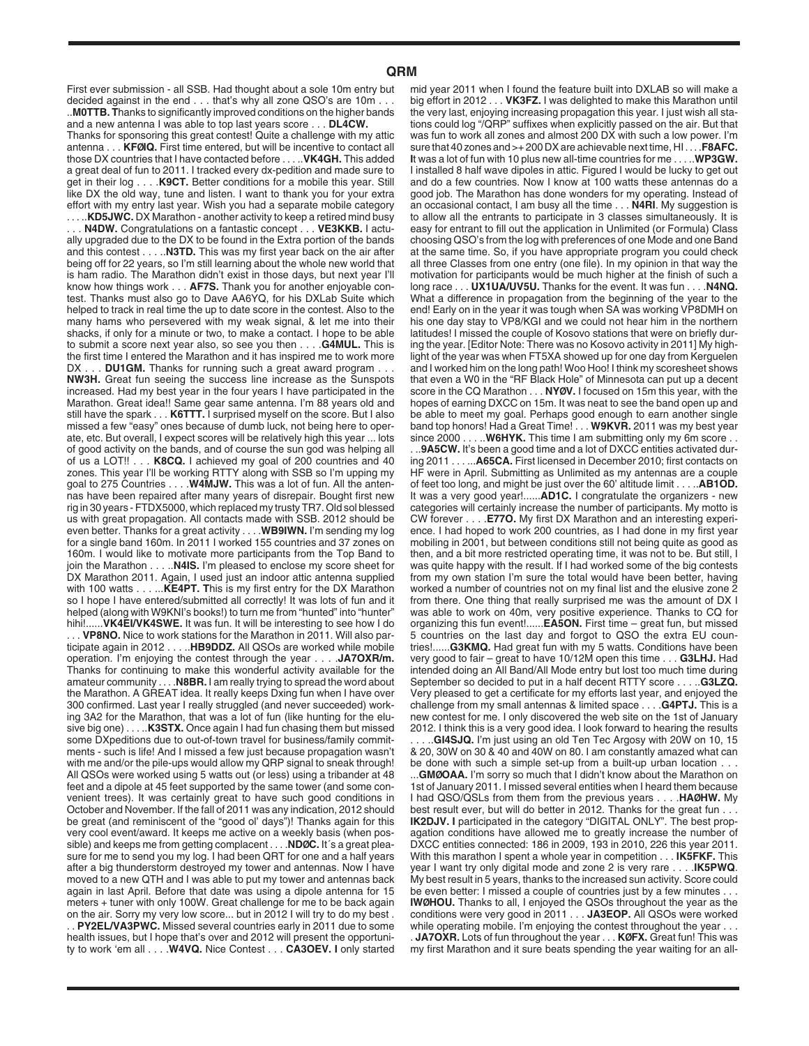..**M0TTB. T**hanks to significantly improved conditions on the higher bands and a new antenna I was able to top last years score . . . **DL4CW.**  Thanks for sponsoring this great contest! Quite a challenge with my attic antenna . . . **KFØIQ.** First time entered, but will be incentive to contact all those DX countries that I have contacted before . . . ..**VK4GH.** This added a great deal of fun to 2011. I tracked every dx-pedition and made sure to get in their log . . . .**K9CT.** Better conditions for a mobile this year. Still like DX the old way, tune and listen. I want to thank you for your extra effort with my entry last year. Wish you had a separate mobile category

.KD5JWC. DX Marathon - another activity to keep a retired mind busy . . . **N4DW.** Congratulations on a fantastic concept . . . **VE3KKB.** I actually upgraded due to the DX to be found in the Extra portion of the bands and this contest . . . ..**N3TD.** This was my first year back on the air after being off for 22 years, so I'm still learning about the whole new world that is ham radio. The Marathon didn't exist in those days, but next year I'll know how things work . . . **AF7S.** Thank you for another enjoyable contest. Thanks must also go to Dave AA6YQ, for his DXLab Suite which helped to track in real time the up to date score in the contest. Also to the many hams who persevered with my weak signal, & let me into their shacks, if only for a minute or two, to make a contact. I hope to be able to submit a score next year also, so see you then . . . .**G4MUL.** This is the first time I entered the Marathon and it has inspired me to work more

DX . . . DU1GM. Thanks for running such a great award program . . . **NW3H.** Great fun seeing the success line increase as the Sunspots increased. Had my best year in the four years I have participated in the Marathon. Great idea!! Same gear same antenna. I'm 88 years old and still have the spark . . . **K6TTT.** I surprised myself on the score. But I also missed a few "easy" ones because of dumb luck, not being here to operate, etc. But overall, I expect scores will be relatively high this year ... lots of good activity on the bands, and of course the sun god was helping all of us a LOT!! . . . **K8CQ.** I achieved my goal of 200 countries and 40 zones. This year I'll be working RTTY along with SSB so I'm upping my goal to 275 Countries . . . .**W4MJW.** This was a lot of fun. All the antennas have been repaired after many years of disrepair. Bought first new rig in 30 years - FTDX5000, which replaced my trusty TR7. Old sol blessed us with great propagation. All contacts made with SSB. 2012 should be even better. Thanks for a great activity . . . .**WB9IWN.** I'm sending my log for a single band 160m. In 2011 I worked 155 countries and 37 zones on 160m. I would like to motivate more participants from the Top Band to join the Marathon . . . ..**N4IS.** I'm pleased to enclose my score sheet for DX Marathon 2011. Again, I used just an indoor attic antenna supplied with 100 watts . . . ...**KE4PT. T**his is my first entry for the DX Marathon so I hope I have entered/submitted all correctly! It was lots of fun and it helped (along with W9KNI's books!) to turn me from "hunted" into "hunter" hihi!......**VK4EI/VK4SWE.** It was fun. It will be interesting to see how I do . **VP8NO.** Nice to work stations for the Marathon in 2011. Will also participate again in 2012 . . . ..**HB9DDZ.** All QSOs are worked while mobile operation. I'm enjoying the contest through the year . . . .**JA7OXR/m.** Thanks for continuing to make this wonderful activity available for the amateur community . . . .**N8BR.** I am really trying to spread the word about the Marathon. A GREAT idea. It really keeps Dxing fun when I have over 300 confirmed. Last year I really struggled (and never succeeded) working 3A2 for the Marathon, that was a lot of fun (like hunting for the elusive big one) . . . ..**K3STX.** Once again I had fun chasing them but missed some DXpeditions due to out-of-town travel for business/family commitments - such is life! And I missed a few just because propagation wasn't with me and/or the pile-ups would allow my QRP signal to sneak through! All QSOs were worked using 5 watts out (or less) using a tribander at 48 feet and a dipole at 45 feet supported by the same tower (and some convenient trees). It was certainly great to have such good conditions in October and November. If the fall of 2011 was any indication, 2012 should be great (and reminiscent of the "good ol' days")! Thanks again for this very cool event/award. It keeps me active on a weekly basis (when possible) and keeps me from getting complacent . . . .**NDØC.** It´s a great pleasure for me to send you my log. I had been QRT for one and a half years after a big thunderstorm destroyed my tower and antennas. Now I have moved to a new QTH and I was able to put my tower and antennas back again in last April. Before that date was using a dipole antenna for 15 meters + tuner with only 100W. Great challenge for me to be back again on the air. Sorry my very low score... but in 2012 I will try to do my best . **PY2EL/VA3PWC.** Missed several countries early in 2011 due to some health issues, but I hope that's over and 2012 will present the opportunity to work 'em all . . . .**W4VQ.** Nice Contest . . . **CA3OEV. I** only started

mid year 2011 when I found the feature built into DXLAB so will make a big effort in 2012 . . . **VK3FZ.** I was delighted to make this Marathon until the very last, enjoying increasing propagation this year. I just wish all stations could log "/QRP" suffixes when explicitly passed on the air. But that was fun to work all zones and almost 200 DX with such a low power. I'm sure that 40 zones and >+ 200 DX are achievable next time, HI . . . .**F8AFC. I**t was a lot of fun with 10 plus new all-time countries for me . . . ..**WP3GW.** I installed 8 half wave dipoles in attic. Figured I would be lucky to get out and do a few countries. Now I know at 100 watts these antennas do a good job. The Marathon has done wonders for my operating. Instead of an occasional contact, I am busy all the time . . . **N4RI**. My suggestion is to allow all the entrants to participate in 3 classes simultaneously. It is easy for entrant to fill out the application in Unlimited (or Formula) Class choosing QSO's from the log with preferences of one Mode and one Band at the same time. So, if you have appropriate program you could check all three Classes from one entry (one file). In my opinion in that way the motivation for participants would be much higher at the finish of such a long race . . . **UX1UA/UV5U.** Thanks for the event. It was fun . . . .**N4NQ.** What a difference in propagation from the beginning of the year to the end! Early on in the year it was tough when SA was working VP8DMH on his one day stay to VP8/KGI and we could not hear him in the northern latitudes! I missed the couple of Kosovo stations that were on briefly during the year. [Editor Note: There was no Kosovo activity in 2011] My highlight of the year was when FT5XA showed up for one day from Kerguelen and I worked him on the long path! Woo Hoo! I think my scoresheet shows that even a W0 in the "RF Black Hole" of Minnesota can put up a decent score in the CQ Marathon . . . **NYØV.** I focused on 15m this year, with the hopes of earning DXCC on 15m. It was neat to see the band open up and

be able to meet my goal. Perhaps good enough to earn another single

band top honors! Had a Great Time! . . . **W9KVR.** 2011 was my best year since 2000 . . . . **W6HYK.** This time I am submitting only my 6m score . . . ..**9A5CW.** It's been a good time and a lot of DXCC entities activated during 2011 . . . ...**A65CA.** First licensed in December 2010; first contacts on HF were in April. Submitting as Unlimited as my antennas are a couple of feet too long, and might be just over the 60' altitude limit . . . ..**AB1OD.** It was a very good year!......**AD1C.** I congratulate the organizers - new categories will certainly increase the number of participants. My motto is CW forever . . . .**E77O.** My first DX Marathon and an interesting experience. I had hoped to work 200 countries, as I had done in my first year mobiling in 2001, but between conditions still not being quite as good as then, and a bit more restricted operating time, it was not to be. But still, I was quite happy with the result. If I had worked some of the big contests from my own station I'm sure the total would have been better, having worked a number of countries not on my final list and the elusive zone 2 from there. One thing that really surprised me was the amount of DX I was able to work on 40m, very positive experience. Thanks to CQ for organizing this fun event!......**EA5ON.** First time – great fun, but missed 5 countries on the last day and forgot to QSO the extra EU countries!......**G3KMQ.** Had great fun with my 5 watts. Conditions have been very good to fair – great to have 10/12M open this time . . . **G3LHJ.** Had intended doing an All Band/All Mode entry but lost too much time during September so decided to put in a half decent RTTY score . . . ..**G3LZQ.** Very pleased to get a certificate for my efforts last year, and enjoyed the challenge from my small antennas & limited space . . . .**G4PTJ.** This is a new contest for me. I only discovered the web site on the 1st of January 2012. I think this is a very good idea. I look forward to hearing the results

.. GI4SJQ. I'm just using an old Ten Tec Argosy with 20W on 10, 15 & 20, 30W on 30 & 40 and 40W on 80. I am constantly amazed what can be done with such a simple set-up from a built-up urban location . . .

...**GMØOAA.** I'm sorry so much that I didn't know about the Marathon on 1st of January 2011. I missed several entities when I heard them because I had QSO/QSLs from them from the previous years . . . .**HAØHW.** My best result ever, but will do better in 2012. Thanks for the great fun . . . **IK2DJV. I** participated in the category "DIGITAL ONLY". The best propagation conditions have allowed me to greatly increase the number of DXCC entities connected: 186 in 2009, 193 in 2010, 226 this year 2011. With this marathon I spent a whole year in competition . . . **IK5FKF.** This year I want try only digital mode and zone 2 is very rare . . . .**IK5PWQ**. My best result in 5 years, thanks to the increased sun activity. Score could be even better: I missed a couple of countries just by a few minutes . **IWØHOU.** Thanks to all, I enjoyed the QSOs throughout the year as the conditions were very good in 2011 . . . **JA3EOP.** All QSOs were worked while operating mobile. I'm enjoying the contest throughout the year . . . . **JA7OXR.** Lots of fun throughout the year . . . **KØFX.** Great fun! This was my first Marathon and it sure beats spending the year waiting for an all